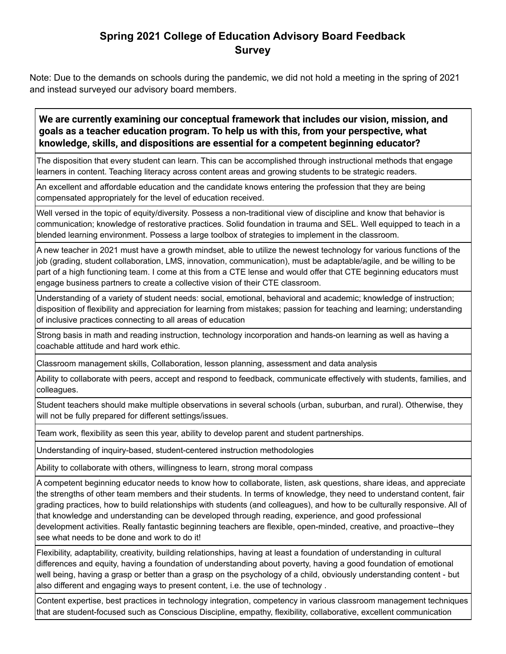# **Spring 2021 College of Education Advisory Board Feedback Survey**

Note: Due to the demands on schools during the pandemic, we did not hold a meeting in the spring of 2021 and instead surveyed our advisory board members.

### **We are currently examining our conceptual framework that includes our vision, mission, and goals as a teacher education program. To help us with this, from your perspective, what knowledge, skills, and dispositions are essential for a competent beginning educator?**

The disposition that every student can learn. This can be accomplished through instructional methods that engage learners in content. Teaching literacy across content areas and growing students to be strategic readers.

An excellent and affordable education and the candidate knows entering the profession that they are being compensated appropriately for the level of education received.

Well versed in the topic of equity/diversity. Possess a non-traditional view of discipline and know that behavior is communication; knowledge of restorative practices. Solid foundation in trauma and SEL. Well equipped to teach in a blended learning environment. Possess a large toolbox of strategies to implement in the classroom.

A new teacher in 2021 must have a growth mindset, able to utilize the newest technology for various functions of the job (grading, student collaboration, LMS, innovation, communication), must be adaptable/agile, and be willing to be part of a high functioning team. I come at this from a CTE lense and would offer that CTE beginning educators must engage business partners to create a collective vision of their CTE classroom.

Understanding of a variety of student needs: social, emotional, behavioral and academic; knowledge of instruction; disposition of flexibility and appreciation for learning from mistakes; passion for teaching and learning; understanding of inclusive practices connecting to all areas of education

Strong basis in math and reading instruction, technology incorporation and hands-on learning as well as having a coachable attitude and hard work ethic.

Classroom management skills, Collaboration, lesson planning, assessment and data analysis

Ability to collaborate with peers, accept and respond to feedback, communicate effectively with students, families, and colleagues.

Student teachers should make multiple observations in several schools (urban, suburban, and rural). Otherwise, they will not be fully prepared for different settings/issues.

Team work, flexibility as seen this year, ability to develop parent and student partnerships.

Understanding of inquiry-based, student-centered instruction methodologies

Ability to collaborate with others, willingness to learn, strong moral compass

A competent beginning educator needs to know how to collaborate, listen, ask questions, share ideas, and appreciate the strengths of other team members and their students. In terms of knowledge, they need to understand content, fair grading practices, how to build relationships with students (and colleagues), and how to be culturally responsive. All of that knowledge and understanding can be developed through reading, experience, and good professional development activities. Really fantastic beginning teachers are flexible, open-minded, creative, and proactive--they see what needs to be done and work to do it!

Flexibility, adaptability, creativity, building relationships, having at least a foundation of understanding in cultural differences and equity, having a foundation of understanding about poverty, having a good foundation of emotional well being, having a grasp or better than a grasp on the psychology of a child, obviously understanding content - but also different and engaging ways to present content, i.e. the use of technology .

Content expertise, best practices in technology integration, competency in various classroom management techniques that are student-focused such as Conscious Discipline, empathy, flexibility, collaborative, excellent communication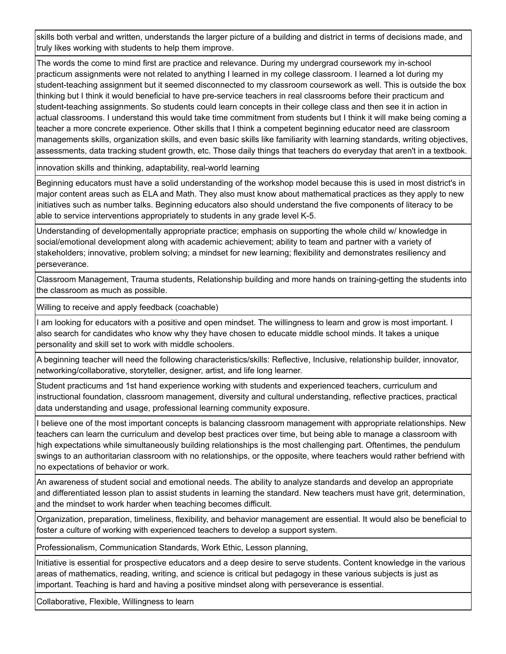skills both verbal and written, understands the larger picture of a building and district in terms of decisions made, and truly likes working with students to help them improve.

The words the come to mind first are practice and relevance. During my undergrad coursework my in-school practicum assignments were not related to anything I learned in my college classroom. I learned a lot during my student-teaching assignment but it seemed disconnected to my classroom coursework as well. This is outside the box thinking but I think it would beneficial to have pre-service teachers in real classrooms before their practicum and student-teaching assignments. So students could learn concepts in their college class and then see it in action in actual classrooms. I understand this would take time commitment from students but I think it will make being coming a teacher a more concrete experience. Other skills that I think a competent beginning educator need are classroom managements skills, organization skills, and even basic skills like familiarity with learning standards, writing objectives, assessments, data tracking student growth, etc. Those daily things that teachers do everyday that aren't in a textbook.

innovation skills and thinking, adaptability, real-world learning

Beginning educators must have a solid understanding of the workshop model because this is used in most district's in major content areas such as ELA and Math. They also must know about mathematical practices as they apply to new initiatives such as number talks. Beginning educators also should understand the five components of literacy to be able to service interventions appropriately to students in any grade level K-5.

Understanding of developmentally appropriate practice; emphasis on supporting the whole child w/ knowledge in social/emotional development along with academic achievement; ability to team and partner with a variety of stakeholders; innovative, problem solving; a mindset for new learning; flexibility and demonstrates resiliency and perseverance.

Classroom Management, Trauma students, Relationship building and more hands on training-getting the students into the classroom as much as possible.

Willing to receive and apply feedback (coachable)

I am looking for educators with a positive and open mindset. The willingness to learn and grow is most important. I also search for candidates who know why they have chosen to educate middle school minds. It takes a unique personality and skill set to work with middle schoolers.

A beginning teacher will need the following characteristics/skills: Reflective, Inclusive, relationship builder, innovator, networking/collaborative, storyteller, designer, artist, and life long learner.

Student practicums and 1st hand experience working with students and experienced teachers, curriculum and instructional foundation, classroom management, diversity and cultural understanding, reflective practices, practical data understanding and usage, professional learning community exposure.

I believe one of the most important concepts is balancing classroom management with appropriate relationships. New teachers can learn the curriculum and develop best practices over time, but being able to manage a classroom with high expectations while simultaneously building relationships is the most challenging part. Oftentimes, the pendulum swings to an authoritarian classroom with no relationships, or the opposite, where teachers would rather befriend with no expectations of behavior or work.

An awareness of student social and emotional needs. The ability to analyze standards and develop an appropriate and differentiated lesson plan to assist students in learning the standard. New teachers must have grit, determination, and the mindset to work harder when teaching becomes difficult.

Organization, preparation, timeliness, flexibility, and behavior management are essential. It would also be beneficial to foster a culture of working with experienced teachers to develop a support system.

Professionalism, Communication Standards, Work Ethic, Lesson planning,

Initiative is essential for prospective educators and a deep desire to serve students. Content knowledge in the various areas of mathematics, reading, writing, and science is critical but pedagogy in these various subjects is just as important. Teaching is hard and having a positive mindset along with perseverance is essential.

Collaborative, Flexible, Willingness to learn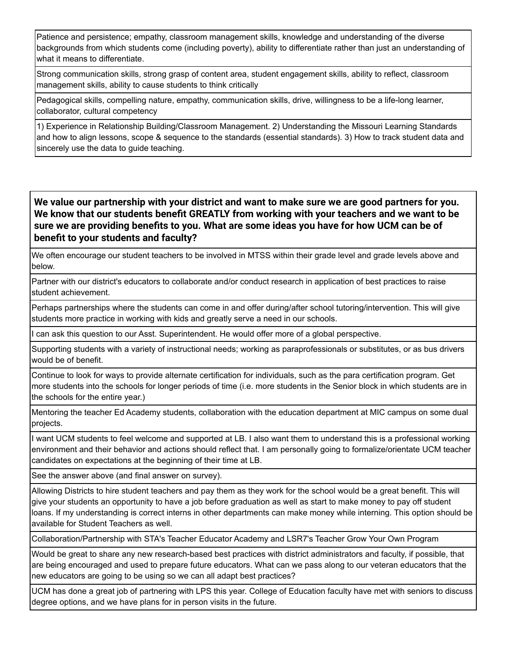Patience and persistence; empathy, classroom management skills, knowledge and understanding of the diverse backgrounds from which students come (including poverty), ability to differentiate rather than just an understanding of what it means to differentiate.

Strong communication skills, strong grasp of content area, student engagement skills, ability to reflect, classroom management skills, ability to cause students to think critically

Pedagogical skills, compelling nature, empathy, communication skills, drive, willingness to be a life-long learner, collaborator, cultural competency

1) Experience in Relationship Building/Classroom Management. 2) Understanding the Missouri Learning Standards and how to align lessons, scope & sequence to the standards (essential standards). 3) How to track student data and sincerely use the data to guide teaching.

**We value our partnership with your district and want to make sure we are good partners for you. We know that our students benefit GREATLY from working with your teachers and we want to be sure we are providing benefits to you. What are some ideas you have for how UCM can be of benefit to your students and faculty?**

We often encourage our student teachers to be involved in MTSS within their grade level and grade levels above and below.

Partner with our district's educators to collaborate and/or conduct research in application of best practices to raise student achievement.

Perhaps partnerships where the students can come in and offer during/after school tutoring/intervention. This will give students more practice in working with kids and greatly serve a need in our schools.

I can ask this question to our Asst. Superintendent. He would offer more of a global perspective.

Supporting students with a variety of instructional needs; working as paraprofessionals or substitutes, or as bus drivers would be of benefit.

Continue to look for ways to provide alternate certification for individuals, such as the para certification program. Get more students into the schools for longer periods of time (i.e. more students in the Senior block in which students are in the schools for the entire year.)

Mentoring the teacher Ed Academy students, collaboration with the education department at MIC campus on some dual projects.

I want UCM students to feel welcome and supported at LB. I also want them to understand this is a professional working environment and their behavior and actions should reflect that. I am personally going to formalize/orientate UCM teacher candidates on expectations at the beginning of their time at LB.

See the answer above (and final answer on survey).

Allowing Districts to hire student teachers and pay them as they work for the school would be a great benefit. This will give your students an opportunity to have a job before graduation as well as start to make money to pay off student loans. If my understanding is correct interns in other departments can make money while interning. This option should be available for Student Teachers as well.

Collaboration/Partnership with STA's Teacher Educator Academy and LSR7's Teacher Grow Your Own Program

Would be great to share any new research-based best practices with district administrators and faculty, if possible, that are being encouraged and used to prepare future educators. What can we pass along to our veteran educators that the new educators are going to be using so we can all adapt best practices?

UCM has done a great job of partnering with LPS this year. College of Education faculty have met with seniors to discuss degree options, and we have plans for in person visits in the future.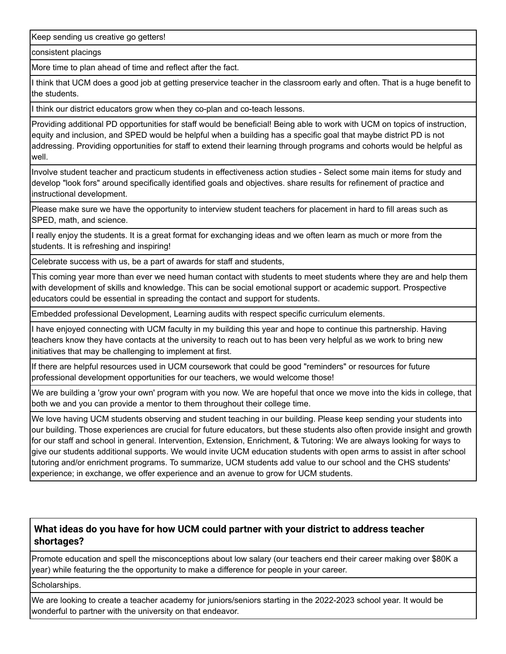Keep sending us creative go getters!

consistent placings

More time to plan ahead of time and reflect after the fact.

I think that UCM does a good job at getting preservice teacher in the classroom early and often. That is a huge benefit to the students.

I think our district educators grow when they co-plan and co-teach lessons.

Providing additional PD opportunities for staff would be beneficial! Being able to work with UCM on topics of instruction, equity and inclusion, and SPED would be helpful when a building has a specific goal that maybe district PD is not addressing. Providing opportunities for staff to extend their learning through programs and cohorts would be helpful as well.

Involve student teacher and practicum students in effectiveness action studies - Select some main items for study and develop "look fors" around specifically identified goals and objectives. share results for refinement of practice and instructional development.

Please make sure we have the opportunity to interview student teachers for placement in hard to fill areas such as SPED, math, and science.

I really enjoy the students. It is a great format for exchanging ideas and we often learn as much or more from the students. It is refreshing and inspiring!

Celebrate success with us, be a part of awards for staff and students,

This coming year more than ever we need human contact with students to meet students where they are and help them with development of skills and knowledge. This can be social emotional support or academic support. Prospective educators could be essential in spreading the contact and support for students.

Embedded professional Development, Learning audits with respect specific curriculum elements.

I have enjoyed connecting with UCM faculty in my building this year and hope to continue this partnership. Having teachers know they have contacts at the university to reach out to has been very helpful as we work to bring new initiatives that may be challenging to implement at first.

If there are helpful resources used in UCM coursework that could be good "reminders" or resources for future professional development opportunities for our teachers, we would welcome those!

We are building a 'grow your own' program with you now. We are hopeful that once we move into the kids in college, that both we and you can provide a mentor to them throughout their college time.

We love having UCM students observing and student teaching in our building. Please keep sending your students into our building. Those experiences are crucial for future educators, but these students also often provide insight and growth for our staff and school in general. Intervention, Extension, Enrichment, & Tutoring: We are always looking for ways to give our students additional supports. We would invite UCM education students with open arms to assist in after school tutoring and/or enrichment programs. To summarize, UCM students add value to our school and the CHS students' experience; in exchange, we offer experience and an avenue to grow for UCM students.

## **What ideas do you have for how UCM could partner with your district to address teacher shortages?**

Promote education and spell the misconceptions about low salary (our teachers end their career making over \$80K a year) while featuring the the opportunity to make a difference for people in your career.

#### Scholarships.

We are looking to create a teacher academy for juniors/seniors starting in the 2022-2023 school year. It would be wonderful to partner with the university on that endeavor.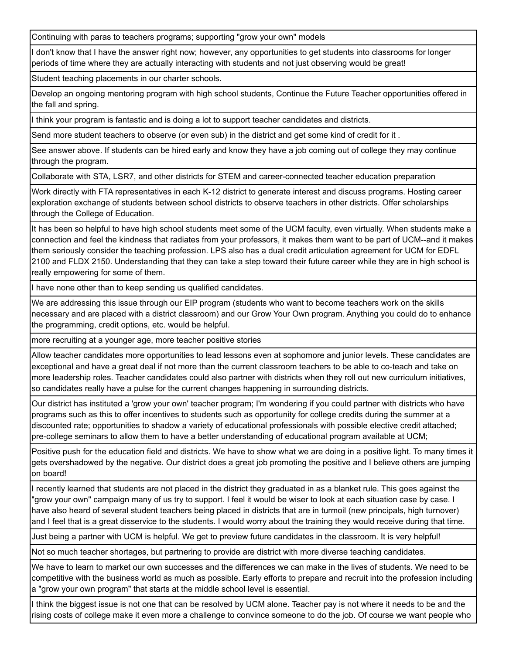Continuing with paras to teachers programs; supporting "grow your own" models

I don't know that I have the answer right now; however, any opportunities to get students into classrooms for longer periods of time where they are actually interacting with students and not just observing would be great!

Student teaching placements in our charter schools.

Develop an ongoing mentoring program with high school students, Continue the Future Teacher opportunities offered in the fall and spring.

I think your program is fantastic and is doing a lot to support teacher candidates and districts.

Send more student teachers to observe (or even sub) in the district and get some kind of credit for it .

See answer above. If students can be hired early and know they have a job coming out of college they may continue through the program.

Collaborate with STA, LSR7, and other districts for STEM and career-connected teacher education preparation

Work directly with FTA representatives in each K-12 district to generate interest and discuss programs. Hosting career exploration exchange of students between school districts to observe teachers in other districts. Offer scholarships through the College of Education.

It has been so helpful to have high school students meet some of the UCM faculty, even virtually. When students make a connection and feel the kindness that radiates from your professors, it makes them want to be part of UCM--and it makes them seriously consider the teaching profession. LPS also has a dual credit articulation agreement for UCM for EDFL 2100 and FLDX 2150. Understanding that they can take a step toward their future career while they are in high school is really empowering for some of them.

I have none other than to keep sending us qualified candidates.

We are addressing this issue through our EIP program (students who want to become teachers work on the skills necessary and are placed with a district classroom) and our Grow Your Own program. Anything you could do to enhance the programming, credit options, etc. would be helpful.

more recruiting at a younger age, more teacher positive stories

Allow teacher candidates more opportunities to lead lessons even at sophomore and junior levels. These candidates are exceptional and have a great deal if not more than the current classroom teachers to be able to co-teach and take on more leadership roles. Teacher candidates could also partner with districts when they roll out new curriculum initiatives, so candidates really have a pulse for the current changes happening in surrounding districts.

Our district has instituted a 'grow your own' teacher program; I'm wondering if you could partner with districts who have programs such as this to offer incentives to students such as opportunity for college credits during the summer at a discounted rate; opportunities to shadow a variety of educational professionals with possible elective credit attached; pre-college seminars to allow them to have a better understanding of educational program available at UCM;

Positive push for the education field and districts. We have to show what we are doing in a positive light. To many times it gets overshadowed by the negative. Our district does a great job promoting the positive and I believe others are jumping on board!

I recently learned that students are not placed in the district they graduated in as a blanket rule. This goes against the "grow your own" campaign many of us try to support. I feel it would be wiser to look at each situation case by case. I have also heard of several student teachers being placed in districts that are in turmoil (new principals, high turnover) and I feel that is a great disservice to the students. I would worry about the training they would receive during that time.

Just being a partner with UCM is helpful. We get to preview future candidates in the classroom. It is very helpful!

Not so much teacher shortages, but partnering to provide are district with more diverse teaching candidates.

We have to learn to market our own successes and the differences we can make in the lives of students. We need to be competitive with the business world as much as possible. Early efforts to prepare and recruit into the profession including a "grow your own program" that starts at the middle school level is essential.

I think the biggest issue is not one that can be resolved by UCM alone. Teacher pay is not where it needs to be and the rising costs of college make it even more a challenge to convince someone to do the job. Of course we want people who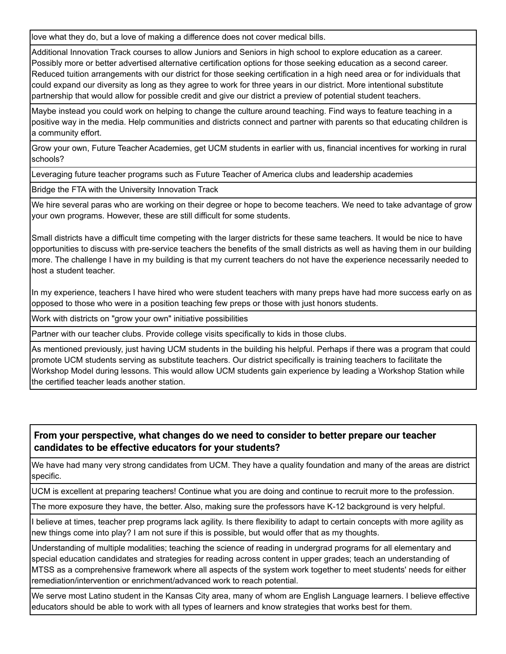love what they do, but a love of making a difference does not cover medical bills.

Additional Innovation Track courses to allow Juniors and Seniors in high school to explore education as a career. Possibly more or better advertised alternative certification options for those seeking education as a second career. Reduced tuition arrangements with our district for those seeking certification in a high need area or for individuals that could expand our diversity as long as they agree to work for three years in our district. More intentional substitute partnership that would allow for possible credit and give our district a preview of potential student teachers.

Maybe instead you could work on helping to change the culture around teaching. Find ways to feature teaching in a positive way in the media. Help communities and districts connect and partner with parents so that educating children is a community effort.

Grow your own, Future Teacher Academies, get UCM students in earlier with us, financial incentives for working in rural schools?

Leveraging future teacher programs such as Future Teacher of America clubs and leadership academies

Bridge the FTA with the University Innovation Track

We hire several paras who are working on their degree or hope to become teachers. We need to take advantage of grow your own programs. However, these are still difficult for some students.

Small districts have a difficult time competing with the larger districts for these same teachers. It would be nice to have opportunities to discuss with pre-service teachers the benefits of the small districts as well as having them in our building more. The challenge I have in my building is that my current teachers do not have the experience necessarily needed to host a student teacher.

In my experience, teachers I have hired who were student teachers with many preps have had more success early on as opposed to those who were in a position teaching few preps or those with just honors students.

Work with districts on "grow your own" initiative possibilities

Partner with our teacher clubs. Provide college visits specifically to kids in those clubs.

As mentioned previously, just having UCM students in the building his helpful. Perhaps if there was a program that could promote UCM students serving as substitute teachers. Our district specifically is training teachers to facilitate the Workshop Model during lessons. This would allow UCM students gain experience by leading a Workshop Station while the certified teacher leads another station.

#### **From your perspective, what changes do we need to consider to better prepare our teacher candidates to be effective educators for your students?**

We have had many very strong candidates from UCM. They have a quality foundation and many of the areas are district specific.

UCM is excellent at preparing teachers! Continue what you are doing and continue to recruit more to the profession.

The more exposure they have, the better. Also, making sure the professors have K-12 background is very helpful.

I believe at times, teacher prep programs lack agility. Is there flexibility to adapt to certain concepts with more agility as new things come into play? I am not sure if this is possible, but would offer that as my thoughts.

Understanding of multiple modalities; teaching the science of reading in undergrad programs for all elementary and special education candidates and strategies for reading across content in upper grades; teach an understanding of MTSS as a comprehensive framework where all aspects of the system work together to meet students' needs for either remediation/intervention or enrichment/advanced work to reach potential.

We serve most Latino student in the Kansas City area, many of whom are English Language learners. I believe effective educators should be able to work with all types of learners and know strategies that works best for them.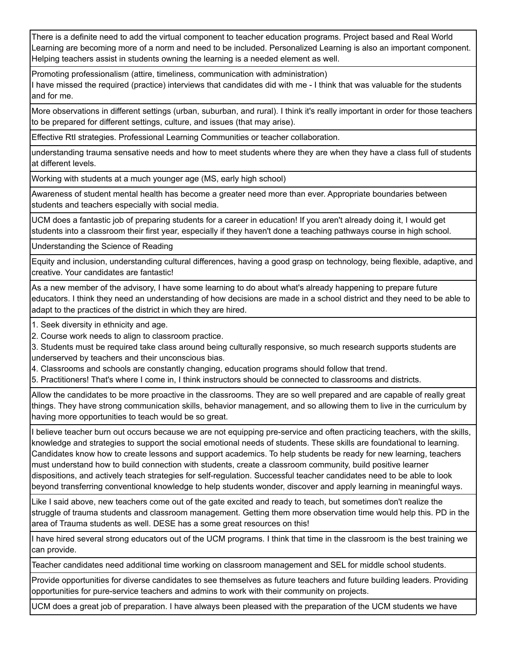There is a definite need to add the virtual component to teacher education programs. Project based and Real World Learning are becoming more of a norm and need to be included. Personalized Learning is also an important component. Helping teachers assist in students owning the learning is a needed element as well.

Promoting professionalism (attire, timeliness, communication with administration)

I have missed the required (practice) interviews that candidates did with me - I think that was valuable for the students and for me.

More observations in different settings (urban, suburban, and rural). I think it's really important in order for those teachers to be prepared for different settings, culture, and issues (that may arise).

Effective RtI strategies. Professional Learning Communities or teacher collaboration.

understanding trauma sensative needs and how to meet students where they are when they have a class full of students at different levels.

Working with students at a much younger age (MS, early high school)

Awareness of student mental health has become a greater need more than ever. Appropriate boundaries between students and teachers especially with social media.

UCM does a fantastic job of preparing students for a career in education! If you aren't already doing it, I would get students into a classroom their first year, especially if they haven't done a teaching pathways course in high school.

Understanding the Science of Reading

Equity and inclusion, understanding cultural differences, having a good grasp on technology, being flexible, adaptive, and creative. Your candidates are fantastic!

As a new member of the advisory, I have some learning to do about what's already happening to prepare future educators. I think they need an understanding of how decisions are made in a school district and they need to be able to adapt to the practices of the district in which they are hired.

1. Seek diversity in ethnicity and age.

2. Course work needs to align to classroom practice.

3. Students must be required take class around being culturally responsive, so much research supports students are underserved by teachers and their unconscious bias.

4. Classrooms and schools are constantly changing, education programs should follow that trend.

5. Practitioners! That's where I come in, I think instructors should be connected to classrooms and districts.

Allow the candidates to be more proactive in the classrooms. They are so well prepared and are capable of really great things. They have strong communication skills, behavior management, and so allowing them to live in the curriculum by having more opportunities to teach would be so great.

I believe teacher burn out occurs because we are not equipping pre-service and often practicing teachers, with the skills, knowledge and strategies to support the social emotional needs of students. These skills are foundational to learning. Candidates know how to create lessons and support academics. To help students be ready for new learning, teachers must understand how to build connection with students, create a classroom community, build positive learner dispositions, and actively teach strategies for self-regulation. Successful teacher candidates need to be able to look beyond transferring conventional knowledge to help students wonder, discover and apply learning in meaningful ways.

Like I said above, new teachers come out of the gate excited and ready to teach, but sometimes don't realize the struggle of trauma students and classroom management. Getting them more observation time would help this. PD in the area of Trauma students as well. DESE has a some great resources on this!

I have hired several strong educators out of the UCM programs. I think that time in the classroom is the best training we can provide.

Teacher candidates need additional time working on classroom management and SEL for middle school students.

Provide opportunities for diverse candidates to see themselves as future teachers and future building leaders. Providing opportunities for pure-service teachers and admins to work with their community on projects.

UCM does a great job of preparation. I have always been pleased with the preparation of the UCM students we have